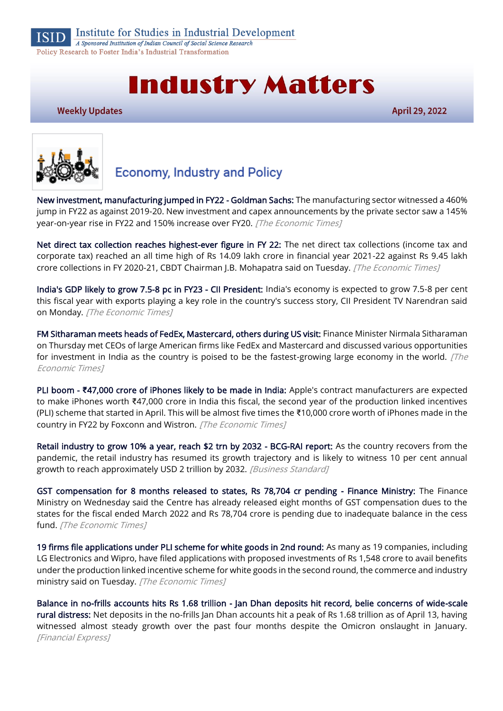

**Institute for Studies in Industrial Development** 

A Sponsored Institution of Indian Council of Social Science Research Policy Research to Foster India's Industrial Transformation

# **Industry Matters**

**Weekly Updates** 

**April 29, 2022** 



# **Economy, Industry and Policy**

[New investment, manufacturing jumped in FY22 - Goldman Sachs:](https://economictimes.indiatimes.com/news/economy/infrastructure/new-investment-manufacturing-jumped-in-fy22-goldman-sachs/articleshow/91122696.cms) The manufacturing sector witnessed a 460% jump in FY22 as against 2019-20. New investment and capex announcements by the private sector saw a 145% year-on-year rise in FY22 and 150% increase over FY20. [The Economic Times]

[Net direct tax collection reaches highest-ever figure in FY 22:](https://economictimes.indiatimes.com/news/economy/finance/net-direct-tax-collection-reaches-highest-ever-figure-in-fy-22/articleshow/91108170.cms) The net direct tax collections (income tax and corporate tax) reached an all time high of Rs 14.09 lakh crore in financial year 2021-22 against Rs 9.45 lakh crore collections in FY 2020-21, CBDT Chairman J.B. Mohapatra said on Tuesday. [The Economic Times]

[India's GDP likely to grow 7.5-8 pc in FY23 - CII President:](https://economictimes.indiatimes.com/news/economy/indicators/indias-gdp-likely-to-grow-7-5-8-pc-in-fy23-cii-president/articleshow/91073932.cms) India's economy is expected to grow 7.5-8 per cent this fiscal year with exports playing a key role in the country's success story, CII President TV Narendran said on Monday. [The Economic Times]

[FM Sitharaman meets heads of FedEx, Mastercard, others during US visit:](https://economictimes.indiatimes.com/news/india/fm-sitharaman-meets-heads-of-fedex-mastercard-others-during-us-visit/articleshow/90994834.cms?utm_source=contentofinterest&utm_medium=text&utm_campaign=cppst) Finance Minister Nirmala Sitharaman on Thursday met CEOs of large American firms like FedEx and Mastercard and discussed various opportunities for investment in India as the country is poised to be the fastest-growing large economy in the world.  $[The$ Economic Times]

PLI boom - **₹**[47,000 crore of iPhones likely to be made in India:](https://economictimes.indiatimes.com/industry/cons-products/electronics/pli-boom-47000-crore-of-iphones-likely-to-be-made-in-india/articleshow/91137339.cms) Apple's contract manufacturers are expected to make iPhones worth ₹47,000 crore in India this fiscal, the second year of the production linked incentives (PLI) scheme that started in April. This will be almost five times the ₹10,000 crore worth of iPhones made in the country in FY22 by Foxconn and Wistron. [The Economic Times]

[Retail industry to grow 10% a year, reach \\$2 trn by 2032 - BCG-RAI report:](https://www.business-standard.com/article/economy-policy/retail-industry-to-grow-10-a-year-reach-2-trn-by-2032-bcg-rai-report-122042700564_1.html) As the country recovers from the pandemic, the retail industry has resumed its growth trajectory and is likely to witness 10 per cent annual growth to reach approximately USD 2 trillion by 2032. [Business Standard]

[GST compensation for 8 months released to states, Rs 78,704 cr pending - Finance Ministry:](https://economictimes.indiatimes.com/news/economy/finance/gst-compensation-for-8-months-released-to-states-rs-78704-cr-pending-finance-ministry/articleshow/91133142.cms) The Finance Ministry on Wednesday said the Centre has already released eight months of GST compensation dues to the states for the fiscal ended March 2022 and Rs 78,704 crore is pending due to inadequate balance in the cess fund. [The Economic Times]

[19 firms file applications under PLI scheme for white goods in 2nd round:](https://economictimes.indiatimes.com/industry/cons-products/durables/19-firms-file-applications-under-pli-scheme-for-white-goods-in-2nd-round/articleshow/91106193.cms) As many as 19 companies, including LG Electronics and Wipro, have filed applications with proposed investments of Rs 1,548 crore to avail benefits under the production linked incentive scheme for white goods in the second round, the commerce and industry ministry said on Tuesday. [The Economic Times]

[Balance in no-frills accounts hits Rs 1.68 trillion - Jan Dhan deposits hit record, belie concerns of wide-scale](https://www.financialexpress.com/economy/balance-in-no-frills-accounts-hits-rs-1-68-trillion-jan-dhan-deposits-hit-record-belie-concerns-of-wide-scale-rural-distress/2502004/)  [rural distress:](https://www.financialexpress.com/economy/balance-in-no-frills-accounts-hits-rs-1-68-trillion-jan-dhan-deposits-hit-record-belie-concerns-of-wide-scale-rural-distress/2502004/) Net deposits in the no-frills Jan Dhan accounts hit a peak of Rs 1.68 trillion as of April 13, having witnessed almost steady growth over the past four months despite the Omicron onslaught in January. [Financial Express]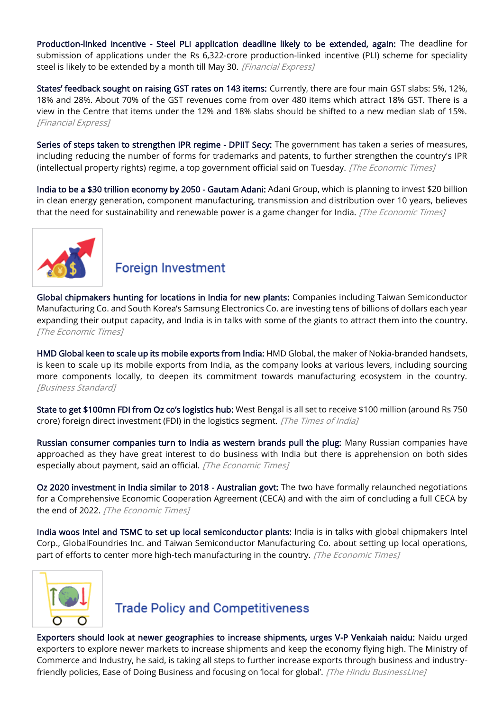[Production-linked incentive - Steel PLI application deadline likely to be extended, again:](https://www.financialexpress.com/industry/production-linked-incentive-steel-pli-application-deadline-likely-to-be-extended-again/2504649/) The deadline for submission of applications under the Rs 6,322-crore production-linked incentive (PLI) scheme for speciality steel is likely to be extended by a month till May 30. [Financial Express]

[States' feedback sought on raising GST rates on 143 items:](https://www.financialexpress.com/economy/states-feedback-sought-on-raising-gst-rates-on-143-items/2502072/) Currently, there are four main GST slabs: 5%, 12%, 18% and 28%. About 70% of the GST revenues come from over 480 items which attract 18% GST. There is a view in the Centre that items under the 12% and 18% slabs should be shifted to a new median slab of 15%. [Financial Express]

[Series of steps taken to strengthen IPR regime - DPIIT Secy:](https://economictimes.indiatimes.com/news/economy/policy/series-of-steps-taken-to-strengthen-ipr-regime-dpiit-secy/articleshow/91095234.cms) The government has taken a series of measures, including reducing the number of forms for trademarks and patents, to further strengthen the country's IPR (intellectual property rights) regime, a top government official said on Tuesday. [The Economic Times]

[India to be a \\$30 trillion economy by 2050 - Gautam Adani:](https://economictimes.indiatimes.com/news/economy/indicators/india-to-be-a-30-trillion-economy-by-2050-gautam-adani/articleshow/90985771.cms) Adani Group, which is planning to invest \$20 billion in clean energy generation, component manufacturing, transmission and distribution over 10 years, believes that the need for sustainability and renewable power is a game changer for India. [The Economic Times]



## **Foreign Investment**

[Global chipmakers hunting for locations in India for new plants:](https://economictimes.indiatimes.com/industry/cons-products/electronics/global-chipmakers-hunting-for-locations-in-india-for-new-plants/articleshow/91144053.cms) Companies including Taiwan Semiconductor Manufacturing Co. and South Korea's Samsung Electronics Co. are investing tens of billions of dollars each year expanding their output capacity, and India is in talks with some of the giants to attract them into the country. [The Economic Times]

[HMD Global keen to scale up its mobile exports from India:](https://www.business-standard.com/article/technology/hmd-global-keen-to-scale-up-its-mobile-exports-from-india-122042600618_1.html) HMD Global, the maker of Nokia-branded handsets, is keen to scale up its mobile exports from India, as the company looks at various levers, including sourcing more components locally, to deepen its commitment towards manufacturing ecosystem in the country. [Business Standard]

[State to get \\$100mn FDI from Oz co's logistics hub:](https://timesofindia.indiatimes.com/city/kolkata/state-to-get-100mn-fdi-from-oz-cos-logistics-hub/articleshow/91084744.cms) West Bengal is all set to receive \$100 million (around Rs 750 crore) foreign direct investment (FDI) in the logistics segment. [The Times of India]

[Russian consumer companies turn to India as western brands pull the plug:](https://economictimes.indiatimes.com/news/company/corporate-trends/russian-consumer-companies-turn-to-india-as-western-brands-pull-the-plug/articleshow/91056891.cms) Many Russian companies have approached as they have great interest to do business with India but there is apprehension on both sides especially about payment, said an official. [The Economic Times]

[Oz 2020 investment in India similar to 2018 - Australian govt:](https://economictimes.indiatimes.com/news/economy/finance/oz-2020-investment-in-india-similar-to-2018-australian-govt/articleshow/91107681.cms) The two have formally relaunched negotiations for a Comprehensive Economic Cooperation Agreement (CECA) and with the aim of concluding a full CECA by the end of 2022. [The Economic Times]

[India woos Intel and TSMC to set up local semiconductor plants:](https://economictimes.indiatimes.com/industry/cons-products/electronics/india-woos-intel-and-tsmc-to-set-up-local-semiconductor-plants/articleshow/91098333.cms) India is in talks with global chipmakers Intel Corp., GlobalFoundries Inc. and Taiwan Semiconductor Manufacturing Co. about setting up local operations, part of efforts to center more high-tech manufacturing in the country. [The Economic Times]



#### **Trade Policy and Competitiveness**

[Exporters should look at newer geographies to increase shipments, urges V-P Venkaiah naidu:](https://www.thehindubusinessline.com/news/exporters-should-look-at-newer-geographies-to-increase-shipments-urges-v-p-venkaiah-naidu/article65353552.ece) Naidu urged exporters to explore newer markets to increase shipments and keep the economy flying high. The Ministry of Commerce and Industry, he said, is taking all steps to further increase exports through business and industryfriendly policies, Ease of Doing Business and focusing on 'local for global'. [The Hindu BusinessLine]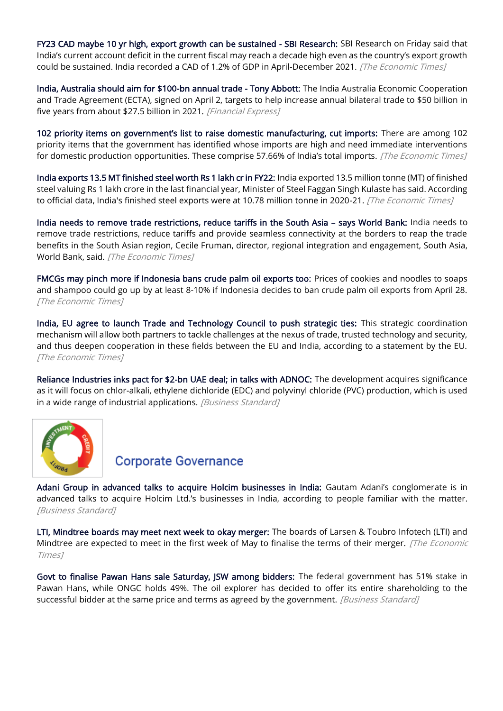[FY23 CAD maybe 10 yr high, export growth can be sustained - SBI Research:](https://economictimes.indiatimes.com/news/economy/foreign-trade/fy23-cad-maybe-10-yr-high-export-growth-can-be-sustained-sbi-research/articleshow/91006830.cms) SBI Research on Friday said that India's current account deficit in the current fiscal may reach a decade high even as the country's export growth could be sustained. India recorded a CAD of 1.2% of GDP in April-December 2021. [The Economic Times]

[India, Australia should aim for \\$100-bn annual trade - Tony Abbott:](https://www.financialexpress.com/economy/india-australia-should-aim-for-100-bn-annual-trade-tony-abbott/2504752/) The India Australia Economic Cooperation and Trade Agreement (ECTA), signed on April 2, targets to help increase annual bilateral trade to \$50 billion in five years from about \$27.5 billion in 2021. [Financial Express]

[102 priority items on government's list to raise domestic manufacturing, cut imports:](https://economictimes.indiatimes.com/news/economy/foreign-trade/comm-min-makes-case-for-encouraging-domestic-manufacturing-of-102-items-to-cut-imports/articleshow/91151559.cms) There are among 102 priority items that the government has identified whose imports are high and need immediate interventions for domestic production opportunities. These comprise 57.66% of India's total imports. [The Economic Times]

[India exports 13.5 MT finished steel worth Rs 1 lakh cr in FY22:](https://economictimes.indiatimes.com/industry/indl-goods/svs/steel/india-exports-13-5-mt-finished-steel-worth-rs-1-lakh-cr-in-fy22/articleshow/91123884.cms) India exported 13.5 million tonne (MT) of finished steel valuing Rs 1 lakh crore in the last financial year, Minister of Steel Faggan Singh Kulaste has said. According to official data, India's finished steel exports were at 10.78 million tonne in 2020-21. [The Economic Times]

[India needs to remove trade restrictions, reduce tariffs in the South Asia](https://economictimes.indiatimes.com/news/economy/foreign-trade/india-needs-to-remove-trade-restrictions-reduce-tariffs-in-the-south-asia-world-bank/articleshow/91125694.cms) – says World Bank: India needs to remove trade restrictions, reduce tariffs and provide seamless connectivity at the borders to reap the trade benefits in the South Asian region, Cecile Fruman, director, regional integration and engagement, South Asia, World Bank, said. [The Economic Times]

[FMCGs may pinch more if Indonesia bans crude palm oil exports too:](https://economictimes.indiatimes.com/news/economy/foreign-trade/fmcgs-may-pinch-more-if-indonesia-bans-crude-palm-oil-exports-too/articleshow/91086266.cms) Prices of cookies and noodles to soaps and shampoo could go up by at least 8-10% if Indonesia decides to ban crude palm oil exports from April 28. [The Economic Times]

[India, EU agree to launch Trade and Technology Council to push strategic ties:](https://economictimes.indiatimes.com/news/economy/foreign-trade/india-eu-agree-to-launch-trade-and-technology-council-to-push-strategic-ties/articleshow/91071058.cms) This strategic coordination mechanism will allow both partners to tackle challenges at the nexus of trade, trusted technology and security, and thus deepen cooperation in these fields between the EU and India, according to a statement by the EU. [The Economic Times]

[Reliance Industries inks pact for \\$2-bn UAE deal; in talks with ADNOC:](https://www.business-standard.com/article/companies/reliance-industries-inks-pact-for-2-bn-uae-deal-in-talks-with-adnoc-122042700018_1.html) The development acquires significance as it will focus on chlor-alkali, ethylene dichloride (EDC) and polyvinyl chloride (PVC) production, which is used in a wide range of industrial applications. [Business Standard]



#### **Corporate Governance**

[Adani Group in advanced talks to acquire Holcim businesses in India:](https://www.business-standard.com/article/companies/adani-group-in-advanced-talks-to-acquire-holcim-businesses-in-india-122042600488_1.html) Gautam Adani's conglomerate is in advanced talks to acquire Holcim Ltd.'s businesses in India, according to people familiar with the matter. [Business Standard]

[LTI, Mindtree boards may meet next week to okay merger:](https://economictimes.indiatimes.com/news/company/corporate-trends/lti-mindtree-boards-may-meet-next-week-to-okay-merger/articleshow/91112330.cms) The boards of Larsen & Toubro Infotech (LTI) and Mindtree are expected to meet in the first week of May to finalise the terms of their merger. [The Economic Times]

[Govt to finalise Pawan Hans sale Saturday, JSW among bidders:](https://www.business-standard.com/article/companies/govt-to-finalize-pawan-hans-sale-saturday-jsw-among-bidders-122042200710_1.html) The federal government has 51% stake in Pawan Hans, while ONGC holds 49%. The oil explorer has decided to offer its entire shareholding to the successful bidder at the same price and terms as agreed by the government. [Business Standard]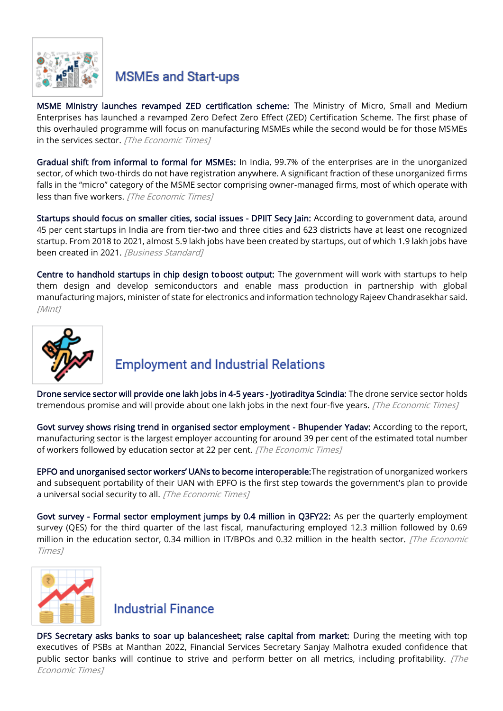

# **MSMEs and Start-ups**

[MSME Ministry launches revamped ZED certification scheme:](https://economictimes.indiatimes.com/news/economy/policy/msme-ministry-launches-revamped-zed-certification-scheme/articleshow/91148739.cms) The Ministry of Micro, Small and Medium Enterprises has launched a revamped Zero Defect Zero Effect (ZED) Certification Scheme. The first phase of this overhauled programme will focus on manufacturing MSMEs while the second would be for those MSMEs in the services sector. [The Economic Times]

[Gradual shift from informal to formal for MSMEs:](https://economictimes.indiatimes.com/news/economy/policy/gradual-shift-from-informal-to-formal-for-msmes/articleshow/91109053.cms) In India, 99.7% of the enterprises are in the unorganized sector, of which two-thirds do not have registration anywhere. A significant fraction of these unorganized firms falls in the "micro" category of the MSME sector comprising owner-managed firms, most of which operate with less than five workers. [The Economic Times]

[Startups should focus on smaller cities, social issues - DPIIT Secy Jain:](https://www.business-standard.com/article/companies/startups-should-focus-on-smaller-cities-social-issues-dpiit-secy-jain-122042800937_1.html) According to government data, around 45 per cent startups in India are from tier-two and three cities and 623 districts have at least one recognized startup. From 2018 to 2021, almost 5.9 lakh jobs have been created by startups, out of which 1.9 lakh jobs have been created in 2021. [Business Standard]

Centre to handhold startups in chip design to boost output: The government will work with startups to help them design and develop semiconductors and enable mass production in partnership with global manufacturing majors, minister of state for electronics and information technology Rajeev Chandrasekhar said. [Mint]



# **Employment and Industrial Relations**

[Drone service sector will provide one lakh jobs in 4-5 years - Jyotiraditya Scindia:](https://economictimes.indiatimes.com/industry/transportation/airlines-/-aviation/drone-service-sector-will-provide-one-lakh-jobs-in-4-5-years-jyotiraditya-scindia/articleshow/91000335.cms) The drone service sector holds tremendous promise and will provide about one lakh jobs in the next four-five years. [The Economic Times]

[Govt survey shows rising trend in organised sector employment - Bhupender Yadav:](https://economictimes.indiatimes.com/jobs/govt-survey-shows-rising-trend-in-organised-sector-employment-bhupender-yadav/articleshow/91145138.cms) According to the report, manufacturing sector is the largest employer accounting for around 39 per cent of the estimated total number of workers followed by education sector at 22 per cent. [The Economic Times]

[EPFO and unorganised sector workers' UANs to become interoperable:](https://economictimes.indiatimes.com/news/economy/policy/epfo-and-unorganised-sector-workers-uans-to-become-interoperable/articleshow/91153913.cms)The registration of unorganized workers and subsequent portability of their UAN with EPFO is the first step towards the government's plan to provide a universal social security to all. [The Economic Times]

[Govt survey - Formal sector employment jumps by 0.4 million in Q3FY22:](https://economictimes.indiatimes.com/news/economy/indicators/govt-survey-formal-sector-employment-jumps-by-0-4-million-in-q3fy22/articleshow/91143759.cms) As per the quarterly employment survey (QES) for the third quarter of the last fiscal, manufacturing employed 12.3 million followed by 0.69 million in the education sector, 0.34 million in IT/BPOs and 0.32 million in the health sector. [The Economic Times]



#### **Industrial Finance**

[DFS Secretary asks banks to soar up balancesheet; raise capital from market:](https://economictimes.indiatimes.com/industry/banking/finance/banking/dfs-secretary-asks-banks-to-soar-up-balancesheet-raise-capital-from-market/articleshow/91007379.cms) During the meeting with top executives of PSBs at Manthan 2022, Financial Services Secretary Sanjay Malhotra exuded confidence that public sector banks will continue to strive and perform better on all metrics, including profitability.  $[The$ Economic Times]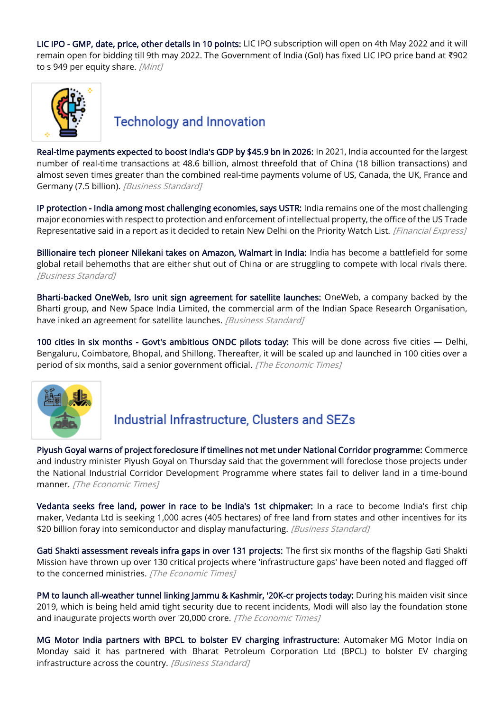[LIC IPO - GMP, date, price, other details in 10 points:](https://www.livemint.com/market/ipo/lic-ipo-date-price-gmp-other-details-in-10-points-11651030152318.html) LIC IPO subscription will open on 4th May 2022 and it will remain open for bidding till 9th may 2022. The Government of India (GoI) has fixed LIC IPO price band at ₹902 to s 949 per equity share. [Mint]



#### **Technology and Innovation**

[Real-time payments expected to boost India's GDP by \\$45.9 bn in 2026:](https://www.business-standard.com/article/economy-policy/real-time-payments-expected-to-boost-india-s-gdp-by-45-9-bn-in-2026-122042600411_1.html) In 2021, India accounted for the largest number of real-time transactions at 48.6 billion, almost threefold that of China (18 billion transactions) and almost seven times greater than the combined real-time payments volume of US, Canada, the UK, France and Germany (7.5 billion). [Business Standard]

[IP protection - India among most challenging economies, says USTR:](https://www.financialexpress.com/economy/ip-protection-india-among-most-challenging-economies-says-ustr/2506187/) India remains one of the most challenging major economies with respect to protection and enforcement of intellectual property, the office of the US Trade Representative said in a report as it decided to retain New Delhi on the Priority Watch List. [Financial Express]

[Billionaire tech pioneer Nilekani takes on Amazon, Walmart in India:](https://www.business-standard.com/article/companies/billionaire-tech-pioneer-nilekani-takes-on-amazon-walmart-in-india-122042800148_1.html) India has become a battlefield for some global retail behemoths that are either shut out of China or are struggling to compete with local rivals there. [Business Standard]

[Bharti-backed OneWeb, Isro unit sign agreement for satellite launches:](https://www.business-standard.com/article/companies/bharti-backed-oneweb-isro-unit-sign-agreement-for-satellite-launches-122042101105_1.html) OneWeb, a company backed by the Bharti group, and New Space India Limited, the commercial arm of the Indian Space Research Organisation, have inked an agreement for satellite launches. [Business Standard]

[100 cities in six months - Govt's ambitious ONDC pilots today:](https://www.business-standard.com/article/economy-policy/100-cities-in-six-months-govt-s-ambitious-ondc-pilots-today-122042800042_1.html) This will be done across five cities — Delhi, Bengaluru, Coimbatore, Bhopal, and Shillong. Thereafter, it will be scaled up and launched in 100 cities over a period of six months, said a senior government official. [The Economic Times]



# Industrial Infrastructure, Clusters and SEZs

[Piyush Goyal warns of project foreclosure if timelines not met under National Corridor programme:](https://economictimes.indiatimes.com/news/economy/infrastructure/piyush-goyal-warns-of-project-foreclosure-if-timelines-not-met-under-national-corridor-programme/articleshow/90989241.cms?utm_source=contentofinterest&utm_medium=text&utm_campaign=cppst) Commerce and industry minister Piyush Goyal on Thursday said that the government will foreclose those projects under the National Industrial Corridor Development Programme where states fail to deliver land in a time-bound manner. [The Economic Times]

[Vedanta seeks free land, power in race to be India's 1st chipmaker:](https://www.business-standard.com/article/companies/vedanta-seeks-free-land-power-in-race-to-be-india-s-1st-chipmaker-report-122042800408_1.html) In a race to become India's first chip maker, Vedanta Ltd is seeking 1,000 acres (405 hectares) of free land from states and other incentives for its \$20 billion foray into semiconductor and display manufacturing. [Business Standard]

[Gati Shakti assessment reveals infra gaps in over 131 projects:](https://economictimes.indiatimes.com/news/economy/infrastructure/gati-shakti-assessment-reveals-infra-gaps-in-over-131-projects/articleshow/91056894.cms) The first six months of the flagship Gati Shakti Mission have thrown up over 130 critical projects where 'infrastructure gaps' have been noted and flagged off to the concerned ministries. [The Economic Times]

[PM to launch all-weather tunnel linking Jammu & Kashmir, '20K-cr projects today:](https://economictimes.indiatimes.com/news/economy/infrastructure/pm-to-launch-all-weather-tunnel-linking-jammu-kashmir-20k-cr-projects-today/articleshow/91036967.cms) During his maiden visit since 2019, which is being held amid tight security due to recent incidents, Modi will also lay the foundation stone and inaugurate projects worth over '20,000 crore. [The Economic Times]

[MG Motor India partners with BPCL to bolster EV charging infrastructure:](https://www.business-standard.com/article/companies/mg-motor-india-partners-with-bpcl-to-bolster-ev-charging-infrastructure-122042500482_1.html) Automaker MG Motor India on Monday said it has partnered with Bharat Petroleum Corporation Ltd (BPCL) to bolster EV charging infrastructure across the country. [Business Standard]